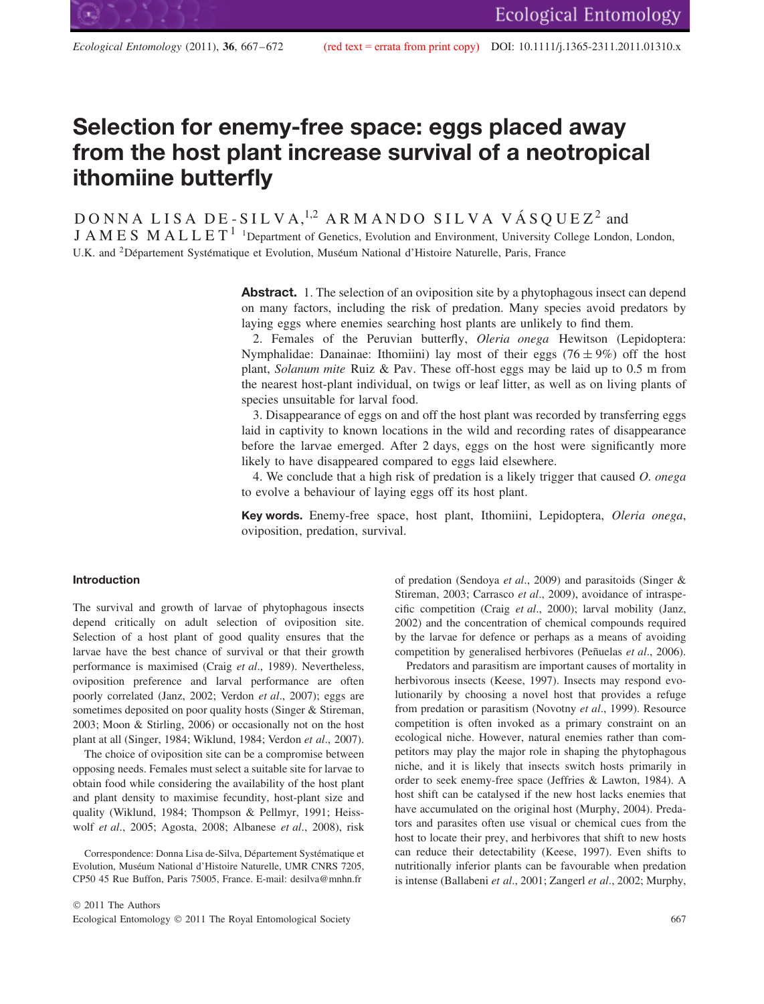# **Selection for enemy-free space: eggs placed away from the host plant increase survival of a neotropical ithomiine butterfly**

 $\texttt{DOMNA} \texttt{LISA} \texttt{DE-SILVA}, ^{1,2} \texttt{ARMANDO} \texttt{SILVA} \texttt{VASQUEZ}{}^{2} \texttt{and}$ 

J A M E S M A L L E T<sup>1</sup><sup>1</sup>Department of Genetics, Evolution and Environment, University College London, London, U.K. and <sup>2</sup> Département Systématique et Evolution, Muséum National d'Histoire Naturelle, Paris, France

> **Abstract.** 1. The selection of an oviposition site by a phytophagous insect can depend on many factors, including the risk of predation. Many species avoid predators by laying eggs where enemies searching host plants are unlikely to find them.

> 2. Females of the Peruvian butterfly, *Oleria onega* Hewitson (Lepidoptera: Nymphalidae: Danainae: Ithomiini) lay most of their eggs (76  $\pm$  9%) off the host plant, *Solanum mite* Ruiz & Pav. These off-host eggs may be laid up to 0.5 m from the nearest host-plant individual, on twigs or leaf litter, as well as on living plants of species unsuitable for larval food.

> 3. Disappearance of eggs on and off the host plant was recorded by transferring eggs laid in captivity to known locations in the wild and recording rates of disappearance before the larvae emerged. After 2 days, eggs on the host were significantly more likely to have disappeared compared to eggs laid elsewhere.

> 4. We conclude that a high risk of predation is a likely trigger that caused *O. onega* to evolve a behaviour of laying eggs off its host plant.

> **Key words.** Enemy-free space, host plant, Ithomiini, Lepidoptera, *Oleria onega*, oviposition, predation, survival.

# **Introduction**

The survival and growth of larvae of phytophagous insects depend critically on adult selection of oviposition site. Selection of a host plant of good quality ensures that the larvae have the best chance of survival or that their growth performance is maximised (Craig *et al*., 1989). Nevertheless, oviposition preference and larval performance are often poorly correlated (Janz, 2002; Verdon *et al*., 2007); eggs are sometimes deposited on poor quality hosts (Singer & Stireman, 2003; Moon & Stirling, 2006) or occasionally not on the host plant at all (Singer, 1984; Wiklund, 1984; Verdon *et al*., 2007).

The choice of oviposition site can be a compromise between opposing needs. Females must select a suitable site for larvae to obtain food while considering the availability of the host plant and plant density to maximise fecundity, host-plant size and quality (Wiklund, 1984; Thompson & Pellmyr, 1991; Heisswolf *et al*., 2005; Agosta, 2008; Albanese *et al*., 2008), risk

Correspondence: Donna Lisa de-Silva, Département Systématique et Evolution, Muséum National d'Histoire Naturelle, UMR CNRS 7205, CP50 45 Rue Buffon, Paris 75005, France. E-mail: desilva@mnhn.fr

of predation (Sendoya *et al*., 2009) and parasitoids (Singer & Stireman, 2003; Carrasco *et al*., 2009), avoidance of intraspecific competition (Craig *et al*., 2000); larval mobility (Janz, 2002) and the concentration of chemical compounds required by the larvae for defence or perhaps as a means of avoiding competition by generalised herbivores (Peñuelas *et al.*, 2006).

Predators and parasitism are important causes of mortality in herbivorous insects (Keese, 1997). Insects may respond evolutionarily by choosing a novel host that provides a refuge from predation or parasitism (Novotny *et al*., 1999). Resource competition is often invoked as a primary constraint on an ecological niche. However, natural enemies rather than competitors may play the major role in shaping the phytophagous niche, and it is likely that insects switch hosts primarily in order to seek enemy-free space (Jeffries & Lawton, 1984). A host shift can be catalysed if the new host lacks enemies that have accumulated on the original host (Murphy, 2004). Predators and parasites often use visual or chemical cues from the host to locate their prey, and herbivores that shift to new hosts can reduce their detectability (Keese, 1997). Even shifts to nutritionally inferior plants can be favourable when predation is intense (Ballabeni *et al*., 2001; Zangerl *et al*., 2002; Murphy,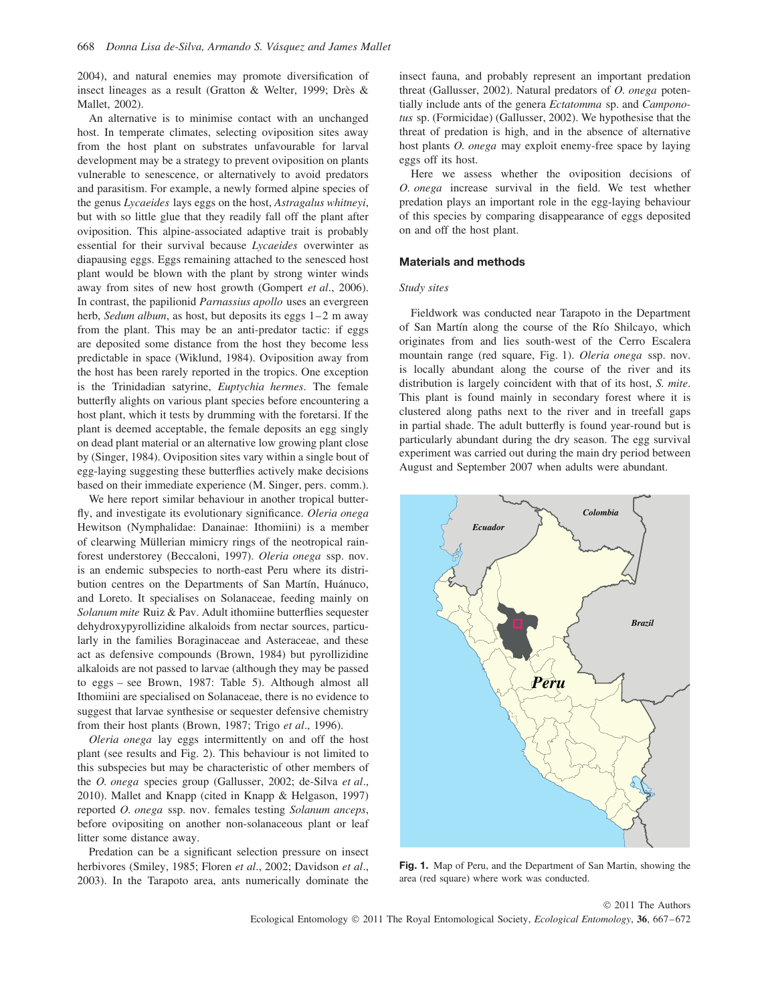2004), and natural enemies may promote diversification of insect lineages as a result (Gratton & Welter, 1999; Drès & Mallet, 2002).

An alternative is to minimise contact with an unchanged host. In temperate climates, selecting oviposition sites away from the host plant on substrates unfavourable for larval development may be a strategy to prevent oviposition on plants vulnerable to senescence, or alternatively to avoid predators and parasitism. For example, a newly formed alpine species of the genus *Lycaeides* lays eggs on the host, *Astragalus whitneyi*, but with so little glue that they readily fall off the plant after oviposition. This alpine-associated adaptive trait is probably essential for their survival because *Lycaeides* overwinter as diapausing eggs. Eggs remaining attached to the senesced host plant would be blown with the plant by strong winter winds away from sites of new host growth (Gompert *et al*., 2006). In contrast, the papilionid *Parnassius apollo* uses an evergreen herb, *Sedum album*, as host, but deposits its eggs 1–2 m away from the plant. This may be an anti-predator tactic: if eggs are deposited some distance from the host they become less predictable in space (Wiklund, 1984). Oviposition away from the host has been rarely reported in the tropics. One exception is the Trinidadian satyrine, *Euptychia hermes*. The female butterfly alights on various plant species before encountering a host plant, which it tests by drumming with the foretarsi. If the plant is deemed acceptable, the female deposits an egg singly on dead plant material or an alternative low growing plant close by (Singer, 1984). Oviposition sites vary within a single bout of egg-laying suggesting these butterflies actively make decisions based on their immediate experience (M. Singer, pers. comm.).

We here report similar behaviour in another tropical butterfly, and investigate its evolutionary significance. *Oleria onega* Hewitson (Nymphalidae: Danainae: Ithomiini) is a member of clearwing Müllerian mimicry rings of the neotropical rainforest understorey (Beccaloni, 1997). *Oleria onega* ssp. nov. is an endemic subspecies to north-east Peru where its distribution centres on the Departments of San Martín, Huánuco, and Loreto. It specialises on Solanaceae, feeding mainly on *Solanum mite* Ruiz & Pav. Adult ithomiine butterflies sequester dehydroxypyrollizidine alkaloids from nectar sources, particularly in the families Boraginaceae and Asteraceae, and these act as defensive compounds (Brown, 1984) but pyrollizidine alkaloids are not passed to larvae (although they may be passed to eggs – see Brown, 1987: Table 5). Although almost all Ithomiini are specialised on Solanaceae, there is no evidence to suggest that larvae synthesise or sequester defensive chemistry from their host plants (Brown, 1987; Trigo *et al*., 1996).

*Oleria onega* lay eggs intermittently on and off the host plant (see results and Fig. 2). This behaviour is not limited to this subspecies but may be characteristic of other members of the *O. onega* species group (Gallusser, 2002; de-Silva *et al*., 2010). Mallet and Knapp (cited in Knapp & Helgason, 1997) reported *O. onega* ssp. nov. females testing *Solanum anceps*, before ovipositing on another non-solanaceous plant or leaf litter some distance away.

Predation can be a significant selection pressure on insect herbivores (Smiley, 1985; Floren *et al*., 2002; Davidson *et al*., 2003). In the Tarapoto area, ants numerically dominate the

insect fauna, and probably represent an important predation threat (Gallusser, 2002). Natural predators of *O. onega* potentially include ants of the genera *Ectatomma* sp. and *Camponotus* sp. (Formicidae) (Gallusser, 2002). We hypothesise that the threat of predation is high, and in the absence of alternative host plants *O. onega* may exploit enemy-free space by laying eggs off its host.

Here we assess whether the oviposition decisions of *O. onega* increase survival in the field. We test whether predation plays an important role in the egg-laying behaviour of this species by comparing disappearance of eggs deposited on and off the host plant.

# **Materials and methods**

## *Study sites*

Fieldwork was conducted near Tarapoto in the Department of San Martín along the course of the Río Shilcayo, which originates from and lies south-west of the Cerro Escalera mountain range (red square, Fig. 1). *Oleria onega* ssp. nov. is locally abundant along the course of the river and its distribution is largely coincident with that of its host, *S. mite*. This plant is found mainly in secondary forest where it is clustered along paths next to the river and in treefall gaps in partial shade. The adult butterfly is found year-round but is particularly abundant during the dry season. The egg survival experiment was carried out during the main dry period between August and September 2007 when adults were abundant.



**Fig. 1.** Map of Peru, and the Department of San Martin, showing the area (red square) where work was conducted.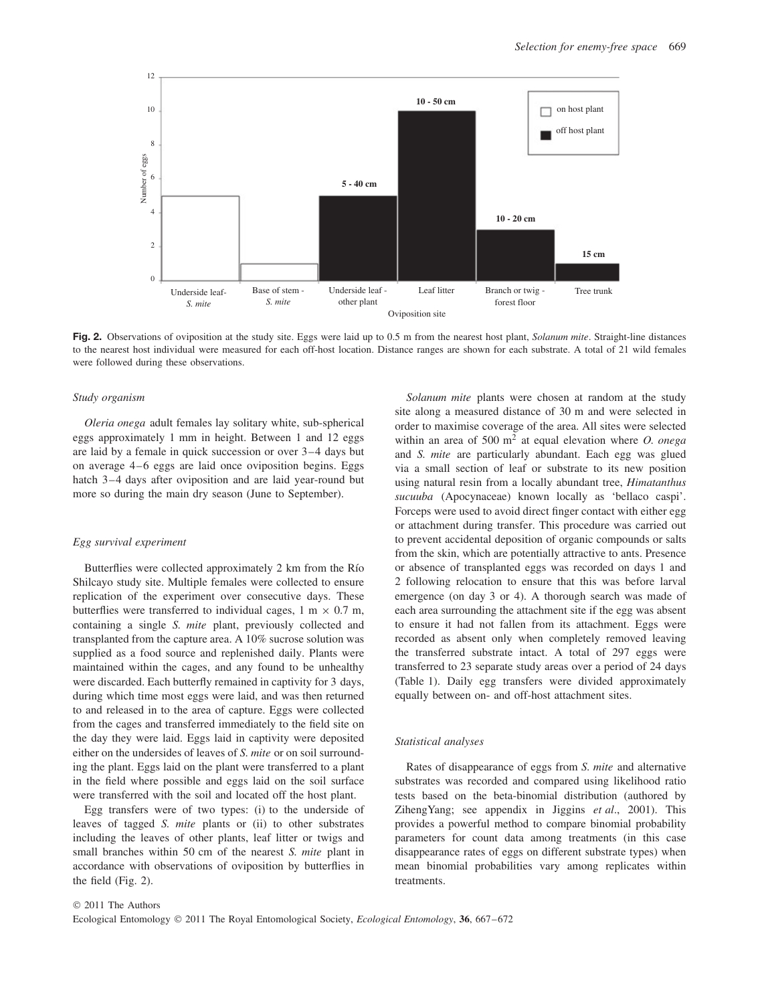

**Fig. 2.** Observations of oviposition at the study site. Eggs were laid up to 0.5 m from the nearest host plant, *Solanum mite*. Straight-line distances to the nearest host individual were measured for each off-host location. Distance ranges are shown for each substrate. A total of 21 wild females were followed during these observations.

### *Study organism*

*Oleria onega* adult females lay solitary white, sub-spherical eggs approximately 1 mm in height. Between 1 and 12 eggs are laid by a female in quick succession or over 3–4 days but on average 4–6 eggs are laid once oviposition begins. Eggs hatch 3–4 days after oviposition and are laid year-round but more so during the main dry season (June to September).

### *Egg survival experiment*

Butterflies were collected approximately 2 km from the Río Shilcayo study site. Multiple females were collected to ensure replication of the experiment over consecutive days. These butterflies were transferred to individual cages,  $1 \text{ m} \times 0.7 \text{ m}$ , containing a single *S. mite* plant, previously collected and transplanted from the capture area. A 10% sucrose solution was supplied as a food source and replenished daily. Plants were maintained within the cages, and any found to be unhealthy were discarded. Each butterfly remained in captivity for 3 days, during which time most eggs were laid, and was then returned to and released in to the area of capture. Eggs were collected from the cages and transferred immediately to the field site on the day they were laid. Eggs laid in captivity were deposited either on the undersides of leaves of *S. mite* or on soil surrounding the plant. Eggs laid on the plant were transferred to a plant in the field where possible and eggs laid on the soil surface were transferred with the soil and located off the host plant.

Egg transfers were of two types: (i) to the underside of leaves of tagged *S. mite* plants or (ii) to other substrates including the leaves of other plants, leaf litter or twigs and small branches within 50 cm of the nearest *S. mite* plant in accordance with observations of oviposition by butterflies in the field (Fig. 2).

*Solanum mite* plants were chosen at random at the study site along a measured distance of 30 m and were selected in order to maximise coverage of the area. All sites were selected within an area of 500 m<sup>2</sup> at equal elevation where *O. onega* and *S. mite* are particularly abundant. Each egg was glued via a small section of leaf or substrate to its new position using natural resin from a locally abundant tree, *Himatanthus sucuuba* (Apocynaceae) known locally as 'bellaco caspi'. Forceps were used to avoid direct finger contact with either egg or attachment during transfer. This procedure was carried out to prevent accidental deposition of organic compounds or salts from the skin, which are potentially attractive to ants. Presence or absence of transplanted eggs was recorded on days 1 and 2 following relocation to ensure that this was before larval emergence (on day 3 or 4). A thorough search was made of each area surrounding the attachment site if the egg was absent to ensure it had not fallen from its attachment. Eggs were recorded as absent only when completely removed leaving the transferred substrate intact. A total of 297 eggs were transferred to 23 separate study areas over a period of 24 days (Table 1). Daily egg transfers were divided approximately equally between on- and off-host attachment sites.

#### *Statistical analyses*

Rates of disappearance of eggs from *S. mite* and alternative substrates was recorded and compared using likelihood ratio tests based on the beta-binomial distribution (authored by ZihengYang; see appendix in Jiggins *et al*., 2001). This provides a powerful method to compare binomial probability parameters for count data among treatments (in this case disappearance rates of eggs on different substrate types) when mean binomial probabilities vary among replicates within treatments.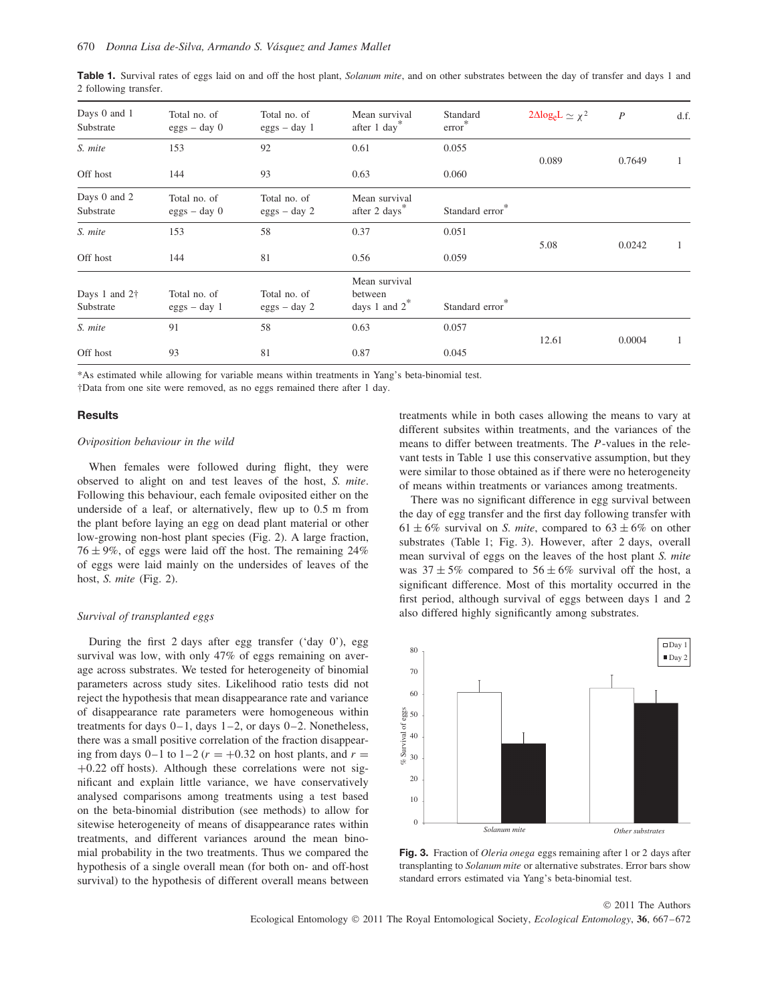| Days 0 and 1<br>Substrate          | Total no. of<br>$eggs - day 0$ | Total no. of<br>$eggs - day 1$ | Mean survival<br>after 1 day*                | Standard<br>$error^*$ | $2\Delta log_e L \simeq \chi^2$ | $\boldsymbol{P}$ | d.f. |
|------------------------------------|--------------------------------|--------------------------------|----------------------------------------------|-----------------------|---------------------------------|------------------|------|
| S. mite                            | 153                            | 92                             | 0.61                                         | 0.055                 |                                 |                  |      |
| Off host                           | 144                            | 93                             | 0.63                                         | 0.060                 | 0.089                           | 0.7649           |      |
| Days 0 and 2<br>Substrate          | Total no. of<br>$eggs - day 0$ | Total no. of<br>$eggs - day 2$ | Mean survival<br>after 2 days*               | Standard error        |                                 |                  |      |
| S. mite                            | 153                            | 58                             | 0.37                                         | 0.051                 |                                 |                  |      |
| Off host                           | 144                            | 81                             | 0.56                                         | 0.059                 | 5.08                            | 0.0242           | J.   |
| Days 1 and $2\dagger$<br>Substrate | Total no. of<br>$eggs - day 1$ | Total no. of<br>$eggs - day 2$ | Mean survival<br>between<br>days 1 and $2^*$ | Standard error*       |                                 |                  |      |
| S. mite                            | 91                             | 58                             | 0.63                                         | 0.057                 |                                 |                  |      |
| Off host                           | 93                             | 81                             | 0.87                                         | 0.045                 | 12.61                           | 0.0004           |      |

**Table 1.** Survival rates of eggs laid on and off the host plant, *Solanum mite*, and on other substrates between the day of transfer and days 1 and 2 following transfer.

\*As estimated while allowing for variable means within treatments in Yang's beta-binomial test.

†Data from one site were removed, as no eggs remained there after 1 day.

#### **Results**

## *Oviposition behaviour in the wild*

When females were followed during flight, they were observed to alight on and test leaves of the host, *S. mite*. Following this behaviour, each female oviposited either on the underside of a leaf, or alternatively, flew up to 0.5 m from the plant before laying an egg on dead plant material or other low-growing non-host plant species (Fig. 2). A large fraction,  $76 \pm 9\%$ , of eggs were laid off the host. The remaining 24% of eggs were laid mainly on the undersides of leaves of the host, *S. mite* (Fig. 2).

#### *Survival of transplanted eggs*

During the first 2 days after egg transfer ('day 0'), egg survival was low, with only 47% of eggs remaining on average across substrates. We tested for heterogeneity of binomial parameters across study sites. Likelihood ratio tests did not reject the hypothesis that mean disappearance rate and variance of disappearance rate parameters were homogeneous within treatments for days 0–1, days 1–2, or days 0–2. Nonetheless, there was a small positive correlation of the fraction disappearing from days  $0-1$  to  $1-2$  ( $r = +0.32$  on host plants, and  $r =$ +0*.*22 off hosts). Although these correlations were not significant and explain little variance, we have conservatively analysed comparisons among treatments using a test based on the beta-binomial distribution (see methods) to allow for sitewise heterogeneity of means of disappearance rates within treatments, and different variances around the mean binomial probability in the two treatments. Thus we compared the hypothesis of a single overall mean (for both on- and off-host survival) to the hypothesis of different overall means between treatments while in both cases allowing the means to vary at different subsites within treatments, and the variances of the means to differ between treatments. The *P*-values in the relevant tests in Table 1 use this conservative assumption, but they were similar to those obtained as if there were no heterogeneity of means within treatments or variances among treatments.

There was no significant difference in egg survival between the day of egg transfer and the first day following transfer with  $61 \pm 6\%$  survival on *S. mite*, compared to  $63 \pm 6\%$  on other substrates (Table 1; Fig. 3). However, after 2 days, overall mean survival of eggs on the leaves of the host plant *S. mite* was  $37 \pm 5\%$  compared to  $56 \pm 6\%$  survival off the host, a significant difference. Most of this mortality occurred in the first period, although survival of eggs between days 1 and 2 also differed highly significantly among substrates.



**Fig. 3.** Fraction of *Oleria onega* eggs remaining after 1 or 2 days after transplanting to *Solanum mite* or alternative substrates. Error bars show standard errors estimated via Yang's beta-binomial test.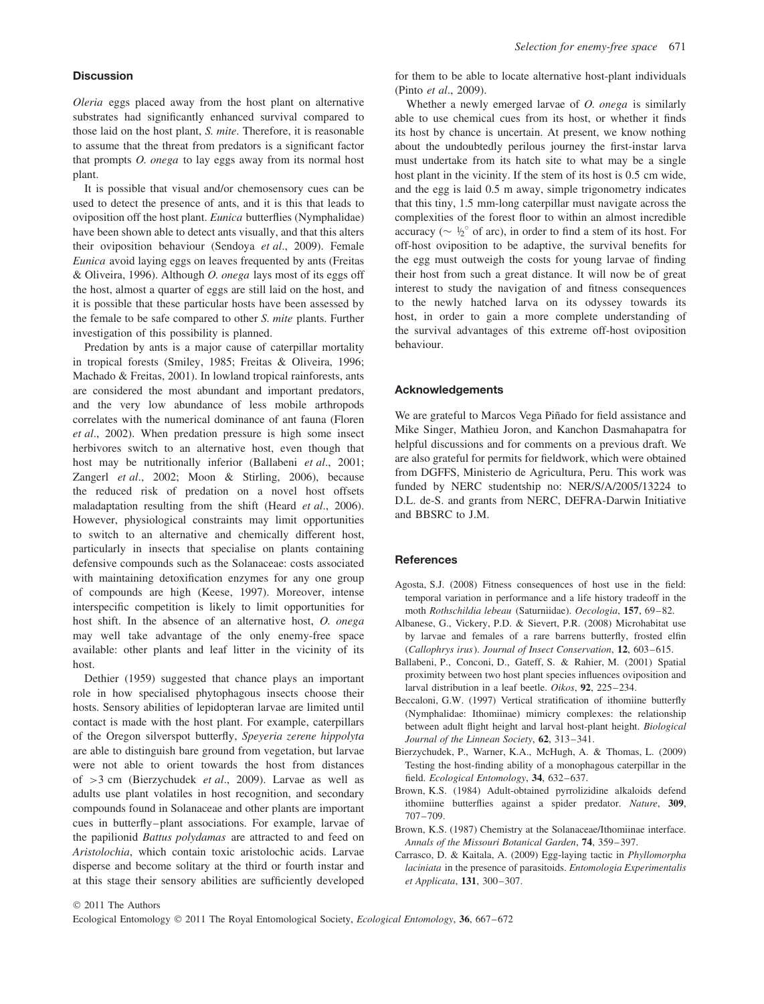#### **Discussion**

*Oleria* eggs placed away from the host plant on alternative substrates had significantly enhanced survival compared to those laid on the host plant, *S. mite*. Therefore, it is reasonable to assume that the threat from predators is a significant factor that prompts *O. onega* to lay eggs away from its normal host plant.

It is possible that visual and/or chemosensory cues can be used to detect the presence of ants, and it is this that leads to oviposition off the host plant. *Eunica* butterflies (Nymphalidae) have been shown able to detect ants visually, and that this alters their oviposition behaviour (Sendoya *et al*., 2009). Female *Eunica* avoid laying eggs on leaves frequented by ants (Freitas & Oliveira, 1996). Although *O. onega* lays most of its eggs off the host, almost a quarter of eggs are still laid on the host, and it is possible that these particular hosts have been assessed by the female to be safe compared to other *S. mite* plants. Further investigation of this possibility is planned.

Predation by ants is a major cause of caterpillar mortality in tropical forests (Smiley, 1985; Freitas & Oliveira, 1996; Machado & Freitas, 2001). In lowland tropical rainforests, ants are considered the most abundant and important predators, and the very low abundance of less mobile arthropods correlates with the numerical dominance of ant fauna (Floren *et al*., 2002). When predation pressure is high some insect herbivores switch to an alternative host, even though that host may be nutritionally inferior (Ballabeni *et al*., 2001; Zangerl *et al*., 2002; Moon & Stirling, 2006), because the reduced risk of predation on a novel host offsets maladaptation resulting from the shift (Heard *et al*., 2006). However, physiological constraints may limit opportunities to switch to an alternative and chemically different host, particularly in insects that specialise on plants containing defensive compounds such as the Solanaceae: costs associated with maintaining detoxification enzymes for any one group of compounds are high (Keese, 1997). Moreover, intense interspecific competition is likely to limit opportunities for host shift. In the absence of an alternative host, *O. onega* may well take advantage of the only enemy-free space available: other plants and leaf litter in the vicinity of its host.

Dethier (1959) suggested that chance plays an important role in how specialised phytophagous insects choose their hosts. Sensory abilities of lepidopteran larvae are limited until contact is made with the host plant. For example, caterpillars of the Oregon silverspot butterfly, *Speyeria zerene hippolyta* are able to distinguish bare ground from vegetation, but larvae were not able to orient towards the host from distances of *>*3 cm (Bierzychudek *et al*., 2009). Larvae as well as adults use plant volatiles in host recognition, and secondary compounds found in Solanaceae and other plants are important cues in butterfly–plant associations. For example, larvae of the papilionid *Battus polydamas* are attracted to and feed on *Aristolochia*, which contain toxic aristolochic acids. Larvae disperse and become solitary at the third or fourth instar and at this stage their sensory abilities are sufficiently developed for them to be able to locate alternative host-plant individuals (Pinto *et al*., 2009).

Whether a newly emerged larvae of *O. onega* is similarly able to use chemical cues from its host, or whether it finds its host by chance is uncertain. At present, we know nothing about the undoubtedly perilous journey the first-instar larva must undertake from its hatch site to what may be a single host plant in the vicinity. If the stem of its host is 0.5 cm wide, and the egg is laid 0.5 m away, simple trigonometry indicates that this tiny, 1.5 mm-long caterpillar must navigate across the complexities of the forest floor to within an almost incredible accuracy ( $\sim \frac{1}{2}^{\circ}$  of arc), in order to find a stem of its host. For off-host oviposition to be adaptive, the survival benefits for the egg must outweigh the costs for young larvae of finding their host from such a great distance. It will now be of great interest to study the navigation of and fitness consequences to the newly hatched larva on its odyssey towards its host, in order to gain a more complete understanding of the survival advantages of this extreme off-host oviposition behaviour.

# **Acknowledgements**

We are grateful to Marcos Vega Piñado for field assistance and Mike Singer, Mathieu Joron, and Kanchon Dasmahapatra for helpful discussions and for comments on a previous draft. We are also grateful for permits for fieldwork, which were obtained from DGFFS, Ministerio de Agricultura, Peru. This work was funded by NERC studentship no: NER/S/A/2005/13224 to D.L. de-S. and grants from NERC, DEFRA-Darwin Initiative and BBSRC to J.M.

#### **References**

- Agosta, S.J. (2008) Fitness consequences of host use in the field: temporal variation in performance and a life history tradeoff in the moth *Rothschildia lebeau* (Saturniidae). *Oecologia*, **157**, 69–82.
- Albanese, G., Vickery, P.D. & Sievert, P.R. (2008) Microhabitat use by larvae and females of a rare barrens butterfly, frosted elfin (*Callophrys irus*). *Journal of Insect Conservation*, **12**, 603–615.
- Ballabeni, P., Conconi, D., Gateff, S. & Rahier, M. (2001) Spatial proximity between two host plant species influences oviposition and larval distribution in a leaf beetle. *Oikos*, **92**, 225–234.
- Beccaloni, G.W. (1997) Vertical stratification of ithomiine butterfly (Nymphalidae: Ithomiinae) mimicry complexes: the relationship between adult flight height and larval host-plant height. *Biological Journal of the Linnean Society*, **62**, 313–341.
- Bierzychudek, P., Warner, K.A., McHugh, A. & Thomas, L. (2009) Testing the host-finding ability of a monophagous caterpillar in the field. *Ecological Entomology*, **34**, 632–637.
- Brown, K.S. (1984) Adult-obtained pyrrolizidine alkaloids defend ithomiine butterflies against a spider predator. *Nature*, **309**, 707–709.
- Brown, K.S. (1987) Chemistry at the Solanaceae/Ithomiinae interface. *Annals of the Missouri Botanical Garden*, **74**, 359–397.
- Carrasco, D. & Kaitala, A. (2009) Egg-laying tactic in *Phyllomorpha laciniata* in the presence of parasitoids. *Entomologia Experimentalis et Applicata*, **131**, 300–307.

© 2011 The Authors

Ecological Entomology © 2011 The Royal Entomological Society, *Ecological Entomology*, **36**, 667–672